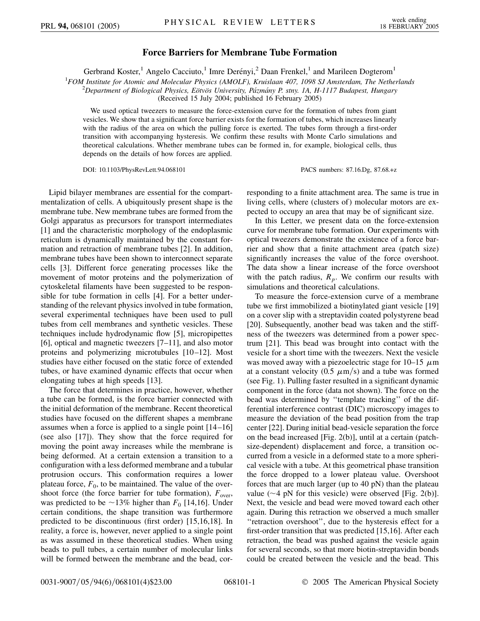## **Force Barriers for Membrane Tube Formation**

Gerbrand Koster,<sup>1</sup> Angelo Cacciuto,<sup>1</sup> Imre Derényi,<sup>2</sup> Daan Frenkel,<sup>1</sup> and Marileen Dogterom<sup>1</sup>

<sup>1</sup>*FOM Institute for Atomic and Molecular Physics (AMOLF), Kruislaan 407, 1098 SJ Amsterdam, The Netherlands* <sup>2</sup><br><sup>2</sup> Department of Biological Physics Eötvös University Pázmány P. styy 14, H. 1117 Budanest Hungary

*Department of Biological Physics, Eo¨tvo¨s University, Pa´zma´ny P. stny. 1A, H-1117 Budapest, Hungary*

(Received 15 July 2004; published 16 February 2005)

We used optical tweezers to measure the force-extension curve for the formation of tubes from giant vesicles. We show that a significant force barrier exists for the formation of tubes, which increases linearly with the radius of the area on which the pulling force is exerted. The tubes form through a first-order transition with accompanying hysteresis. We confirm these results with Monte Carlo simulations and theoretical calculations. Whether membrane tubes can be formed in, for example, biological cells, thus depends on the details of how forces are applied.

DOI: 10.1103/PhysRevLett.94.068101 PACS numbers: 87.16.Dg, 87.68.+z

Lipid bilayer membranes are essential for the compartmentalization of cells. A ubiquitously present shape is the membrane tube. New membrane tubes are formed from the Golgi apparatus as precursors for transport intermediates [1] and the characteristic morphology of the endoplasmic reticulum is dynamically maintained by the constant formation and retraction of membrane tubes [2]. In addition, membrane tubes have been shown to interconnect separate cells [3]. Different force generating processes like the movement of motor proteins and the polymerization of cytoskeletal filaments have been suggested to be responsible for tube formation in cells [4]. For a better understanding of the relevant physics involved in tube formation, several experimental techniques have been used to pull tubes from cell membranes and synthetic vesicles. These techniques include hydrodynamic flow [5], micropipettes [6], optical and magnetic tweezers [7–11], and also motor proteins and polymerizing microtubules [10–12]. Most studies have either focused on the static force of extended tubes, or have examined dynamic effects that occur when elongating tubes at high speeds [13].

The force that determines in practice, however, whether a tube can be formed, is the force barrier connected with the initial deformation of the membrane. Recent theoretical studies have focused on the different shapes a membrane assumes when a force is applied to a single point [14–16] (see also [17]). They show that the force required for moving the point away increases while the membrane is being deformed. At a certain extension a transition to a configuration with a less deformed membrane and a tubular protrusion occurs. This conformation requires a lower plateau force,  $F_0$ , to be maintained. The value of the overshoot force (the force barrier for tube formation),  $F_{over}$ , was predicted to be  $\sim$ 13% higher than  $F_0$  [14,16]. Under certain conditions, the shape transition was furthermore predicted to be discontinuous (first order) [15,16,18]. In reality, a force is, however, never applied to a single point as was assumed in these theoretical studies. When using beads to pull tubes, a certain number of molecular links will be formed between the membrane and the bead, corresponding to a finite attachment area. The same is true in living cells, where (clusters of) molecular motors are expected to occupy an area that may be of significant size.

In this Letter, we present data on the force-extension curve for membrane tube formation. Our experiments with optical tweezers demonstrate the existence of a force barrier and show that a finite attachment area (patch size) significantly increases the value of the force overshoot. The data show a linear increase of the force overshoot with the patch radius,  $R_p$ . We confirm our results with simulations and theoretical calculations.

To measure the force-extension curve of a membrane tube we first immobilized a biotinylated giant vesicle [19] on a cover slip with a streptavidin coated polystyrene bead [20]. Subsequently, another bead was taken and the stiffness of the tweezers was determined from a power spectrum [21]. This bead was brought into contact with the vesicle for a short time with the tweezers. Next the vesicle was moved away with a piezoelectric stage for 10–15  $\mu$ m at a constant velocity  $(0.5 \mu \text{m/s})$  and a tube was formed (see Fig. 1). Pulling faster resulted in a significant dynamic component in the force (data not shown). The force on the bead was determined by ''template tracking'' of the differential interference contrast (DIC) microscopy images to measure the deviation of the bead position from the trap center [22]. During initial bead-vesicle separation the force on the bead increased [Fig. 2(b)], until at a certain (patchsize-dependent) displacement and force, a transition occurred from a vesicle in a deformed state to a more spherical vesicle with a tube. At this geometrical phase transition the force dropped to a lower plateau value. Overshoot forces that are much larger (up to 40 pN) than the plateau value  $(\sim 4 \text{ pN}$  for this vesicle) were observed [Fig. 2(b)]. Next, the vesicle and bead were moved toward each other again. During this retraction we observed a much smaller "retraction overshoot", due to the hysteresis effect for a first-order transition that was predicted [15,16]. After each retraction, the bead was pushed against the vesicle again for several seconds, so that more biotin-streptavidin bonds could be created between the vesicle and the bead. This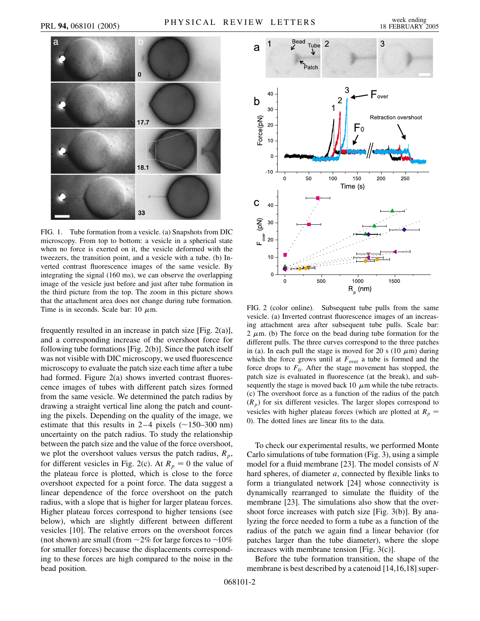

FIG. 1. Tube formation from a vesicle. (a) Snapshots from DIC microscopy. From top to bottom: a vesicle in a spherical state when no force is exerted on it, the vesicle deformed with the tweezers, the transition point, and a vesicle with a tube. (b) Inverted contrast fluorescence images of the same vesicle. By integrating the signal (160 ms), we can observe the overlapping image of the vesicle just before and just after tube formation in the third picture from the top. The zoom in this picture shows that the attachment area does not change during tube formation. Time is in seconds. Scale bar: 10  $\mu$ m.

frequently resulted in an increase in patch size [Fig. 2(a)], and a corresponding increase of the overshoot force for following tube formations [Fig. 2(b)]. Since the patch itself was not visible with DIC microscopy, we used fluorescence microscopy to evaluate the patch size each time after a tube had formed. Figure 2(a) shows inverted contrast fluorescence images of tubes with different patch sizes formed from the same vesicle. We determined the patch radius by drawing a straight vertical line along the patch and counting the pixels. Depending on the quality of the image, we estimate that this results in  $2-4$  pixels ( $\sim$ 150–300 nm) uncertainty on the patch radius. To study the relationship between the patch size and the value of the force overshoot, we plot the overshoot values versus the patch radius,  $R_p$ , for different vesicles in Fig. 2(c). At  $R_p = 0$  the value of the plateau force is plotted, which is close to the force overshoot expected for a point force. The data suggest a linear dependence of the force overshoot on the patch radius, with a slope that is higher for larger plateau forces. Higher plateau forces correspond to higher tensions (see below), which are slightly different between different vesicles [10]. The relative errors on the overshoot forces (not shown) are small (from  $\sim$ 2% for large forces to  $\sim$ 10% for smaller forces) because the displacements corresponding to these forces are high compared to the noise in the bead position.



FIG. 2 (color online). Subsequent tube pulls from the same vesicle. (a) Inverted contrast fluorescence images of an increasing attachment area after subsequent tube pulls. Scale bar: 2  $\mu$ m. (b) The force on the bead during tube formation for the different pulls. The three curves correspond to the three patches in (a). In each pull the stage is moved for 20 s (10  $\mu$ m) during which the force grows until at  $F_{over}$  a tube is formed and the force drops to  $F_0$ . After the stage movement has stopped, the patch size is evaluated in fluorescence (at the break), and subsequently the stage is moved back 10  $\mu$ m while the tube retracts. (c) The overshoot force as a function of the radius of the patch  $(R_p)$  for six different vesicles. The larger slopes correspond to vesicles with higher plateau forces (which are plotted at  $R_p =$ 0). The dotted lines are linear fits to the data.

To check our experimental results, we performed Monte Carlo simulations of tube formation (Fig. 3), using a simple model for a fluid membrane [23]. The model consists of *N* hard spheres, of diameter *a*, connected by flexible links to form a triangulated network [24] whose connectivity is dynamically rearranged to simulate the fluidity of the membrane [23]. The simulations also show that the overshoot force increases with patch size [Fig. 3(b)]. By analyzing the force needed to form a tube as a function of the radius of the patch we again find a linear behavior (for patches larger than the tube diameter), where the slope increases with membrane tension [Fig. 3(c)].

Before the tube formation transition, the shape of the membrane is best described by a catenoid [14,16,18] super-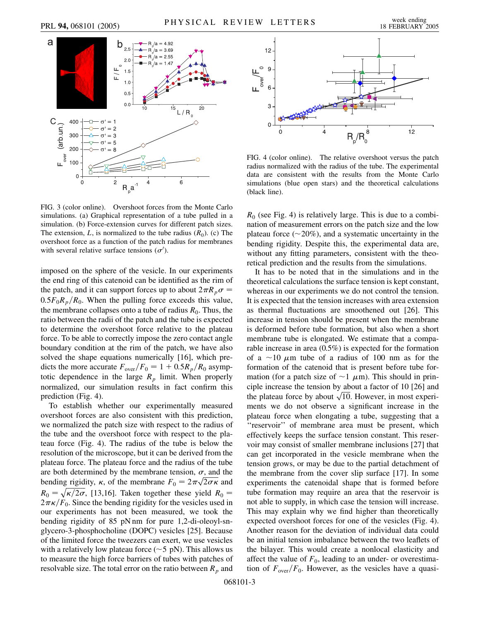

FIG. 3 (color online). Overshoot forces from the Monte Carlo simulations. (a) Graphical representation of a tube pulled in a simulation. (b) Force-extension curves for different patch sizes. The extension,  $L$ , is normalized to the tube radius  $(R_0)$ . (c) The overshoot force as a function of the patch radius for membranes with several relative surface tensions  $(\sigma')$ .

imposed on the sphere of the vesicle. In our experiments the end ring of this catenoid can be identified as the rim of the patch, and it can support forces up to about  $2\pi R_p \sigma =$  $0.5F_0R_p/R_0$ . When the pulling force exceeds this value, the membrane collapses onto a tube of radius  $R_0$ . Thus, the ratio between the radii of the patch and the tube is expected to determine the overshoot force relative to the plateau force. To be able to correctly impose the zero contact angle boundary condition at the rim of the patch, we have also solved the shape equations numerically [16], which predicts the more accurate  $F_{over}/F_0 = 1 + 0.5R_p/R_0$  asymptotic dependence in the large  $R_p$  limit. When properly normalized, our simulation results in fact confirm this prediction (Fig. 4).

To establish whether our experimentally measured overshoot forces are also consistent with this prediction, we normalized the patch size with respect to the radius of the tube and the overshoot force with respect to the plateau force (Fig. 4). The radius of the tube is below the resolution of the microscope, but it can be derived from the plateau force. The plateau force and the radius of the tube are both determined by the membrane tension,  $\sigma$ , and the are both determined by the membrane tension,  $\sigma$ , and the bending rigidity,  $\kappa$ , of the membrane  $F_0 = 2\pi\sqrt{2\sigma\kappa}$  and  $R_0 = \sqrt{\kappa/2\sigma}$ , [13,16]. Taken together these yield  $R_0 =$  $2\pi\kappa/F_0$ . Since the bending rigidity for the vesicles used in our experiments has not been measured, we took the bending rigidity of 85 pN nm for pure 1,2-di-oleoyl-snglycero-3-phosphocholine (DOPC) vesicles [25]. Because of the limited force the tweezers can exert, we use vesicles with a relatively low plateau force  $(\sim 5 \text{ pN})$ . This allows us to measure the high force barriers of tubes with patches of resolvable size. The total error on the ratio between  $R_p$  and



FIG. 4 (color online). The relative overshoot versus the patch radius normalized with the radius of the tube. The experimental data are consistent with the results from the Monte Carlo simulations (blue open stars) and the theoretical calculations (black line).

 $R_0$  (see Fig. 4) is relatively large. This is due to a combination of measurement errors on the patch size and the low plateau force  $(\sim 20\%)$ , and a systematic uncertainty in the bending rigidity. Despite this, the experimental data are, without any fitting parameters, consistent with the theoretical prediction and the results from the simulations.

It has to be noted that in the simulations and in the theoretical calculations the surface tension is kept constant, whereas in our experiments we do not control the tension. It is expected that the tension increases with area extension as thermal fluctuations are smoothened out [26]. This increase in tension should be present when the membrane is deformed before tube formation, but also when a short membrane tube is elongated. We estimate that a comparable increase in area (0.5%) is expected for the formation of a  $\sim$ 10  $\mu$ m tube of a radius of 100 nm as for the formation of the catenoid that is present before tube formation (for a patch size of  $\sim$ 1  $\mu$ m). This should in principle increase the tension by about a factor of 10 [26] and cipie increase the tension by about a ractor of 10 [26] and<br>the plateau force by about  $\sqrt{10}$ . However, in most experiments we do not observe a significant increase in the plateau force when elongating a tube, suggesting that a "reservoir" of membrane area must be present, which effectively keeps the surface tension constant. This reservoir may consist of smaller membrane inclusions [27] that can get incorporated in the vesicle membrane when the tension grows, or may be due to the partial detachment of the membrane from the cover slip surface [17]. In some experiments the catenoidal shape that is formed before tube formation may require an area that the reservoir is not able to supply, in which case the tension will increase. This may explain why we find higher than theoretically expected overshoot forces for one of the vesicles (Fig. 4). Another reason for the deviation of individual data could be an initial tension imbalance between the two leaflets of the bilayer. This would create a nonlocal elasticity and affect the value of  $F_0$ , leading to an under- or overestimation of  $F_{over}/F_0$ . However, as the vesicles have a quasi